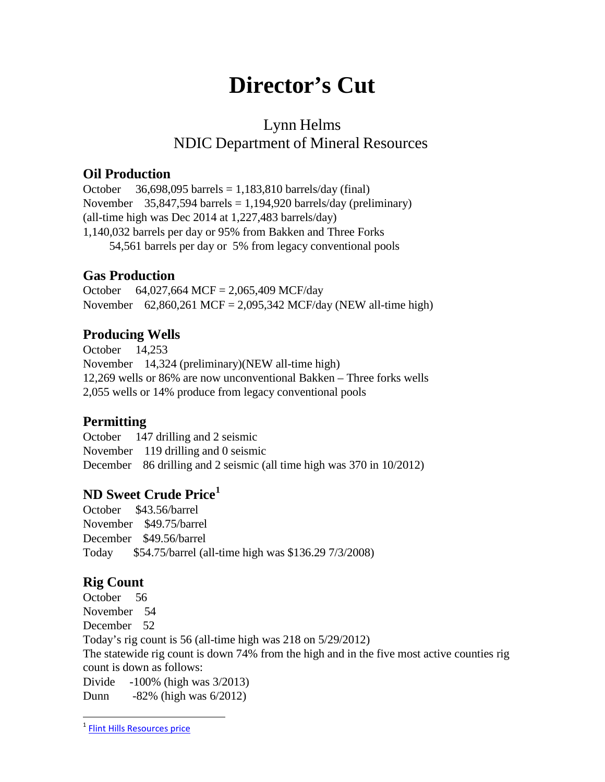# **Director's Cut**

# Lynn Helms NDIC Department of Mineral Resources

#### **Oil Production**

October  $36,698,095$  barrels = 1,183,810 barrels/day (final) November  $35,847,594$  barrels = 1,194,920 barrels/day (preliminary) (all-time high was Dec 2014 at 1,227,483 barrels/day) 1,140,032 barrels per day or 95% from Bakken and Three Forks 54,561 barrels per day or 5% from legacy conventional pools

#### **Gas Production**

October 64,027,664 MCF = 2,065,409 MCF/day November 62,860,261 MCF = 2,095,342 MCF/day (NEW all-time high)

## **Producing Wells**

October 14,253 November 14,324 (preliminary)(NEW all-time high) 12,269 wells or 86% are now unconventional Bakken – Three forks wells 2,055 wells or 14% produce from legacy conventional pools

### **Permitting**

October 147 drilling and 2 seismic November 119 drilling and 0 seismic December 86 drilling and 2 seismic (all time high was 370 in 10/2012)

# **ND Sweet Crude Price[1](#page-0-0)**

October \$43.56/barrel November \$49.75/barrel December \$49.56/barrel Today \$54.75/barrel (all-time high was \$136.29 7/3/2008)

# **Rig Count**

October 56 November 54 December 52 Today's rig count is 56 (all-time high was 218 on 5/29/2012) The statewide rig count is down 74% from the high and in the five most active counties rig count is down as follows: Divide -100% (high was 3/2013) Dunn -82% (high was 6/2012)

<span id="page-0-0"></span> <sup>1</sup> [Flint Hills Resources price](https://www.fhr.com/products-services/fuels-and-aromatics)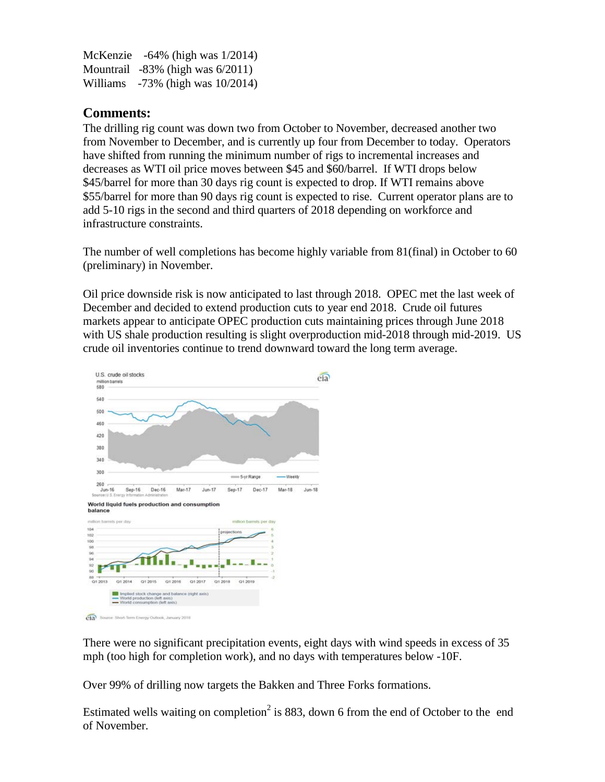McKenzie -64% (high was 1/2014) Mountrail -83% (high was 6/2011) Williams -73% (high was 10/2014)

#### **Comments:**

The drilling rig count was down two from October to November, decreased another two from November to December, and is currently up four from December to today. Operators have shifted from running the minimum number of rigs to incremental increases and decreases as WTI oil price moves between \$45 and \$60/barrel. If WTI drops below \$45/barrel for more than 30 days rig count is expected to drop. If WTI remains above \$55/barrel for more than 90 days rig count is expected to rise. Current operator plans are to add 5-10 rigs in the second and third quarters of 2018 depending on workforce and infrastructure constraints.

The number of well completions has become highly variable from 81(final) in October to 60 (preliminary) in November.

Oil price downside risk is now anticipated to last through 2018. OPEC met the last week of December and decided to extend production cuts to year end 2018. Crude oil futures markets appear to anticipate OPEC production cuts maintaining prices through June 2018 with US shale production resulting is slight overproduction mid-2018 through mid-2019. US crude oil inventories continue to trend downward toward the long term average.



There were no significant precipitation events, eight days with wind speeds in excess of 35 mph (too high for completion work), and no days with temperatures below -10F.

Over 99% of drilling now targets the Bakken and Three Forks formations.

Estimated wells waiting on completion<sup>2</sup> is 883, down 6 from the end of October to the end of November.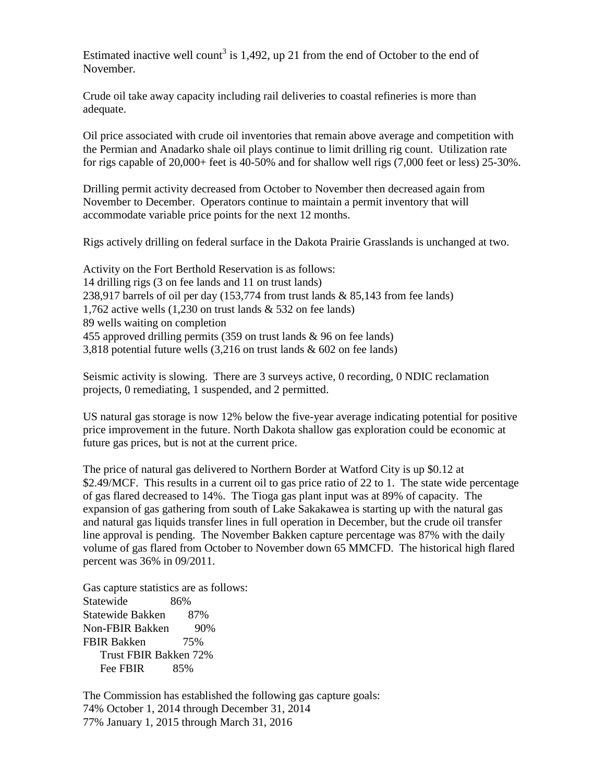Estimated inactive well count<sup>3</sup> is 1,492, up 21 from the end of October to the end of November.

Crude oil take away capacity including rail deliveries to coastal refineries is more than adequate.

Oil price associated with crude oil inventories that remain above average and competition with the Permian and Anadarko shale oil plays continue to limit drilling rig count. Utilization rate for rigs capable of 20,000+ feet is 40-50% and for shallow well rigs (7,000 feet or less) 25-30%.

Drilling permit activity decreased from October to November then decreased again from November to December. Operators continue to maintain a permit inventory that will accommodate variable price points for the next 12 months.

Rigs actively drilling on federal surface in the Dakota Prairie Grasslands is unchanged at two.

Activity on the Fort Berthold Reservation is as follows: 14 drilling rigs (3 on fee lands and 11 on trust lands) 238,917 barrels of oil per day  $(153,774$  from trust lands & 85,143 from fee lands) 1,762 active wells (1,230 on trust lands & 532 on fee lands) 89 wells waiting on completion 455 approved drilling permits (359 on trust lands & 96 on fee lands) 3,818 potential future wells (3,216 on trust lands & 602 on fee lands)

Seismic activity is slowing. There are 3 surveys active, 0 recording, 0 NDIC reclamation projects, 0 remediating, 1 suspended, and 2 permitted.

US natural gas storage is now 12% below the five-year average indicating potential for positive price improvement in the future. North Dakota shallow gas exploration could be economic at future gas prices, but is not at the current price.

The price of natural gas delivered to Northern Border at Watford City is up \$0.12 at \$2.49/MCF. This results in a current oil to gas price ratio of 22 to 1. The state wide percentage of gas flared decreased to 14%. The Tioga gas plant input was at 89% of capacity. The expansion of gas gathering from south of Lake Sakakawea is starting up with the natural gas and natural gas liquids transfer lines in full operation in December, but the crude oil transfer line approval is pending. The November Bakken capture percentage was 87% with the daily volume of gas flared from October to November down 65 MMCFD. The historical high flared percent was 36% in 09/2011.

Gas capture statistics are as follows: Statewide 86% Statewide Bakken 87% Non-FBIR Bakken 90% FBIR Bakken 75% Trust FBIR Bakken 72% Fee FBIR 85%

The Commission has established the following gas capture goals: 74% October 1, 2014 through December 31, 2014 77% January 1, 2015 through March 31, 2016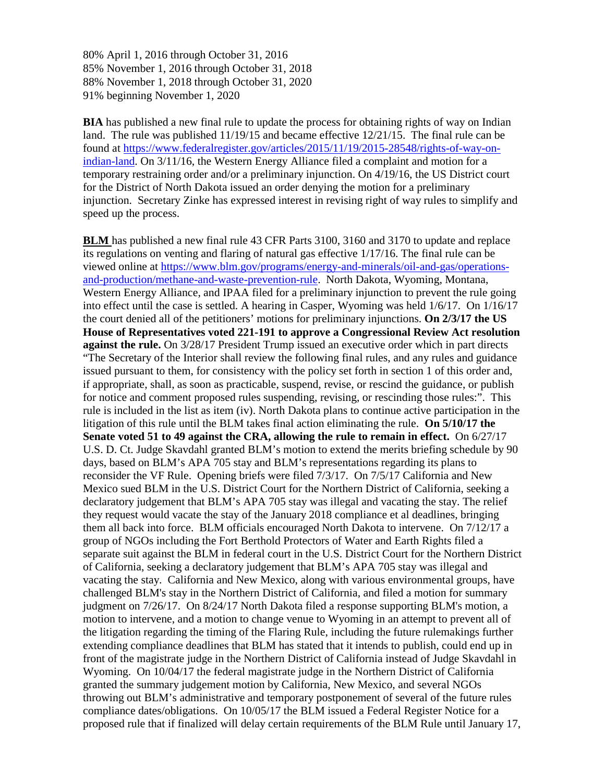80% April 1, 2016 through October 31, 2016 85% November 1, 2016 through October 31, 2018 88% November 1, 2018 through October 31, 2020 91% beginning November 1, 2020

**BIA** has published a new final rule to update the process for obtaining rights of way on Indian land. The rule was published 11/19/15 and became effective 12/21/15. The final rule can be found at [https://www.federalregister.gov/articles/2015/11/19/2015-28548/rights-of-way-on](https://www.federalregister.gov/articles/2015/11/19/2015-28548/rights-of-way-on-indian-land)[indian-land.](https://www.federalregister.gov/articles/2015/11/19/2015-28548/rights-of-way-on-indian-land) On 3/11/16, the Western Energy Alliance filed a complaint and motion for a temporary restraining order and/or a preliminary injunction. On 4/19/16, the US District court for the District of North Dakota issued an order denying the motion for a preliminary injunction. Secretary Zinke has expressed interest in revising right of way rules to simplify and speed up the process.

**BLM** has published a new final rule 43 CFR Parts 3100, 3160 and 3170 to update and replace its regulations on venting and flaring of natural gas effective 1/17/16. The final rule can be viewed online at [https://www.blm.gov/programs/energy-and-minerals/oil-and-gas/operations](https://www.blm.gov/programs/energy-and-minerals/oil-and-gas/operations-and-production/methane-and-waste-prevention-rule)[and-production/methane-and-waste-prevention-rule.](https://www.blm.gov/programs/energy-and-minerals/oil-and-gas/operations-and-production/methane-and-waste-prevention-rule) North Dakota, Wyoming, Montana, Western Energy Alliance, and IPAA filed for a preliminary injunction to prevent the rule going into effect until the case is settled. A hearing in Casper, Wyoming was held 1/6/17. On 1/16/17 the court denied all of the petitioners' motions for preliminary injunctions. **On 2/3/17 the US House of Representatives voted 221-191 to approve a Congressional Review Act resolution against the rule.** On 3/28/17 President Trump issued an executive order which in part directs "The Secretary of the Interior shall review the following final rules, and any rules and guidance issued pursuant to them, for consistency with the policy set forth in section 1 of this order and, if appropriate, shall, as soon as practicable, suspend, revise, or rescind the guidance, or publish for notice and comment proposed rules suspending, revising, or rescinding those rules:". This rule is included in the list as item (iv). North Dakota plans to continue active participation in the litigation of this rule until the BLM takes final action eliminating the rule. **On 5/10/17 the Senate voted 51 to 49 against the CRA, allowing the rule to remain in effect.** On 6/27/17 U.S. D. Ct. Judge Skavdahl granted BLM's motion to extend the merits briefing schedule by 90 days, based on BLM's APA 705 stay and BLM's representations regarding its plans to reconsider the VF Rule. Opening briefs were filed 7/3/17. On 7/5/17 California and New Mexico sued BLM in the U.S. District Court for the Northern District of California, seeking a declaratory judgement that BLM's APA 705 stay was illegal and vacating the stay. The relief they request would vacate the stay of the January 2018 compliance et al deadlines, bringing them all back into force. BLM officials encouraged North Dakota to intervene. On 7/12/17 a group of NGOs including the Fort Berthold Protectors of Water and Earth Rights filed a separate suit against the BLM in federal court in the U.S. District Court for the Northern District of California, seeking a declaratory judgement that BLM's APA 705 stay was illegal and vacating the stay. California and New Mexico, along with various environmental groups, have challenged BLM's stay in the Northern District of California, and filed a motion for summary judgment on 7/26/17. On 8/24/17 North Dakota filed a response supporting BLM's motion, a motion to intervene, and a motion to change venue to Wyoming in an attempt to prevent all of the litigation regarding the timing of the Flaring Rule, including the future rulemakings further extending compliance deadlines that BLM has stated that it intends to publish, could end up in front of the magistrate judge in the Northern District of California instead of Judge Skavdahl in Wyoming. On 10/04/17 the federal magistrate judge in the Northern District of California granted the summary judgement motion by California, New Mexico, and several NGOs throwing out BLM's administrative and temporary postponement of several of the future rules compliance dates/obligations. On 10/05/17 the BLM issued a Federal Register Notice for a proposed rule that if finalized will delay certain requirements of the BLM Rule until January 17,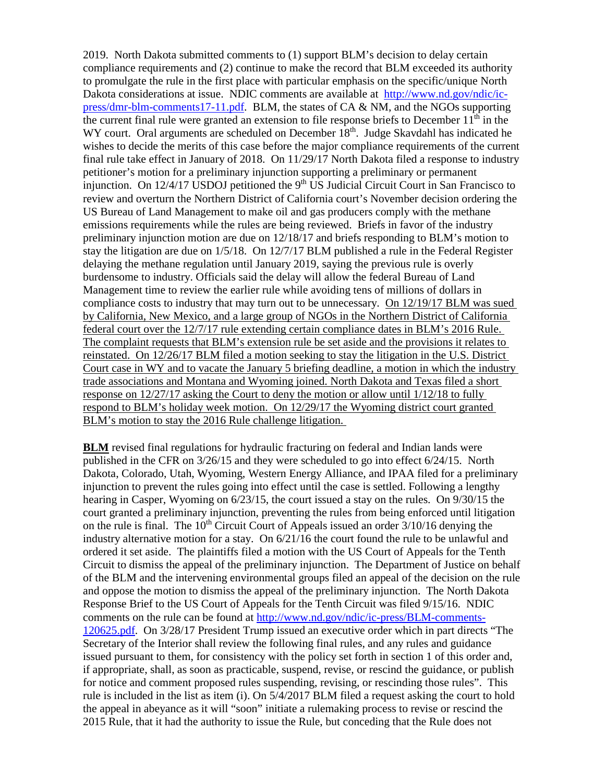2019. North Dakota submitted comments to (1) support BLM's decision to delay certain compliance requirements and (2) continue to make the record that BLM exceeded its authority to promulgate the rule in the first place with particular emphasis on the specific/unique North Dakota considerations at issue. NDIC comments are available at [http://www.nd.gov/ndic/ic](http://www.nd.gov/ndic/ic-press/dmr-blm-comments17-11.pdf)[press/dmr-blm-comments17-11.pdf.](http://www.nd.gov/ndic/ic-press/dmr-blm-comments17-11.pdf) BLM, the states of CA & NM, and the NGOs supporting the current final rule were granted an extension to file response briefs to December  $11^{th}$  in the WY court. Oral arguments are scheduled on December  $18<sup>th</sup>$ . Judge Skavdahl has indicated he wishes to decide the merits of this case before the major compliance requirements of the current final rule take effect in January of 2018. On 11/29/17 North Dakota filed a response to industry petitioner's motion for a preliminary injunction supporting a preliminary or permanent injunction. On  $12/4/17$  USDOJ petitioned the 9<sup>th</sup> US Judicial Circuit Court in San Francisco to review and overturn the Northern District of California court's November decision ordering the US Bureau of Land Management to make oil and gas producers comply with the methane emissions requirements while the rules are being reviewed. Briefs in favor of the industry preliminary injunction motion are due on 12/18/17 and briefs responding to BLM's motion to stay the litigation are due on 1/5/18. On 12/7/17 BLM published a rule in the Federal Register delaying the methane regulation until January 2019, saying the previous rule is overly burdensome to industry. Officials said the delay will allow the federal Bureau of Land Management time to review the earlier rule while avoiding tens of millions of dollars in compliance costs to industry that may turn out to be unnecessary. On 12/19/17 BLM was sued by California, New Mexico, and a large group of NGOs in the Northern District of California federal court over the 12/7/17 rule extending certain compliance dates in BLM's 2016 Rule. The complaint requests that BLM's extension rule be set aside and the provisions it relates to reinstated. On 12/26/17 BLM filed a motion seeking to stay the litigation in the U.S. District Court case in WY and to vacate the January 5 briefing deadline, a motion in which the industry trade associations and Montana and Wyoming joined. North Dakota and Texas filed a short response on 12/27/17 asking the Court to deny the motion or allow until 1/12/18 to fully respond to BLM's holiday week motion. On 12/29/17 the Wyoming district court granted BLM's motion to stay the 2016 Rule challenge litigation.

**BLM** revised final regulations for hydraulic fracturing on federal and Indian lands were published in the CFR on 3/26/15 and they were scheduled to go into effect 6/24/15. North Dakota, Colorado, Utah, Wyoming, Western Energy Alliance, and IPAA filed for a preliminary injunction to prevent the rules going into effect until the case is settled. Following a lengthy hearing in Casper, Wyoming on 6/23/15, the court issued a stay on the rules. On 9/30/15 the court granted a preliminary injunction, preventing the rules from being enforced until litigation on the rule is final. The  $10<sup>th</sup>$  Circuit Court of Appeals issued an order  $3/10/16$  denying the industry alternative motion for a stay. On  $6/21/16$  the court found the rule to be unlawful and ordered it set aside. The plaintiffs filed a motion with the US Court of Appeals for the Tenth Circuit to dismiss the appeal of the preliminary injunction. The Department of Justice on behalf of the BLM and the intervening environmental groups filed an appeal of the decision on the rule and oppose the motion to dismiss the appeal of the preliminary injunction. The North Dakota Response Brief to the US Court of Appeals for the Tenth Circuit was filed 9/15/16. NDIC comments on the rule can be found at [http://www.nd.gov/ndic/ic-press/BLM-comments-](http://www.nd.gov/ndic/ic-press/BLM-comments-120625.pdf)[120625.pdf.](http://www.nd.gov/ndic/ic-press/BLM-comments-120625.pdf) On 3/28/17 President Trump issued an executive order which in part directs "The Secretary of the Interior shall review the following final rules, and any rules and guidance issued pursuant to them, for consistency with the policy set forth in section 1 of this order and, if appropriate, shall, as soon as practicable, suspend, revise, or rescind the guidance, or publish for notice and comment proposed rules suspending, revising, or rescinding those rules". This rule is included in the list as item (i). On 5/4/2017 BLM filed a request asking the court to hold the appeal in abeyance as it will "soon" initiate a rulemaking process to revise or rescind the 2015 Rule, that it had the authority to issue the Rule, but conceding that the Rule does not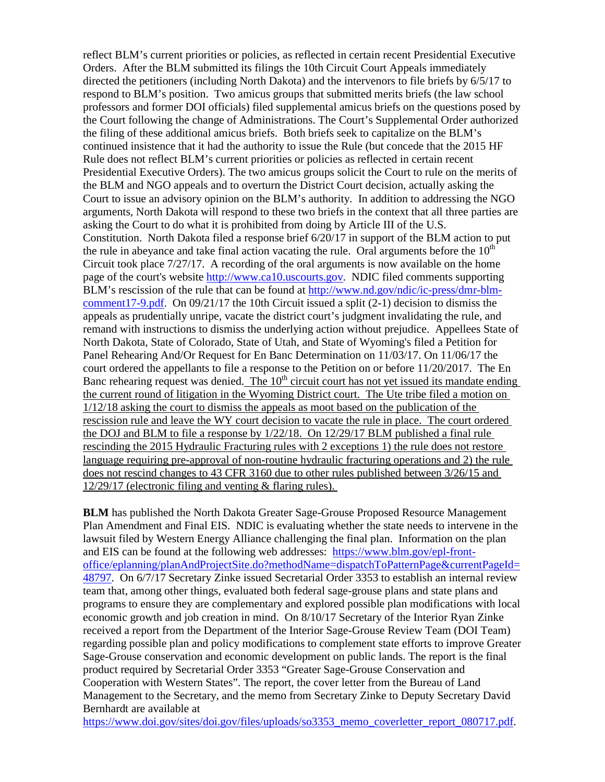reflect BLM's current priorities or policies, as reflected in certain recent Presidential Executive Orders. After the BLM submitted its filings the 10th Circuit Court Appeals immediately directed the petitioners (including North Dakota) and the intervenors to file briefs by 6/5/17 to respond to BLM's position. Two amicus groups that submitted merits briefs (the law school professors and former DOI officials) filed supplemental amicus briefs on the questions posed by the Court following the change of Administrations. The Court's Supplemental Order authorized the filing of these additional amicus briefs. Both briefs seek to capitalize on the BLM's continued insistence that it had the authority to issue the Rule (but concede that the 2015 HF Rule does not reflect BLM's current priorities or policies as reflected in certain recent Presidential Executive Orders). The two amicus groups solicit the Court to rule on the merits of the BLM and NGO appeals and to overturn the District Court decision, actually asking the Court to issue an advisory opinion on the BLM's authority. In addition to addressing the NGO arguments, North Dakota will respond to these two briefs in the context that all three parties are asking the Court to do what it is prohibited from doing by Article III of the U.S. Constitution. North Dakota filed a response brief 6/20/17 in support of the BLM action to put the rule in abeyance and take final action vacating the rule. Oral arguments before the  $10<sup>th</sup>$ Circuit took place  $7/27/17$ . A recording of the oral arguments is now available on the home page of the court's website [http://www.ca10.uscourts.gov.](https://urldefense.proofpoint.com/v2/url?u=http-3A__www.ca10.uscourts.gov&d=DwMGaQ&c=2s2mvbfY0UoSKkl6_Ol9wg&r=-wqsZnBxny594KY8HeElow&m=Ul_VtJUX6iW5pvHjCcBxUWtskC0F4Dhry3sPtcEHvCw&s=laRHiLDv5w8otcQWQjpn82WMieoB2AZ-Q4M1LFQPL5s&e=) NDIC filed comments supporting BLM's rescission of the rule that can be found at [http://www.nd.gov/ndic/ic-press/dmr-blm](http://www.nd.gov/ndic/ic-press/dmr-blm-comment17-9.pdf)[comment17-9.pdf.](http://www.nd.gov/ndic/ic-press/dmr-blm-comment17-9.pdf) On  $09/21/17$  the 10th Circuit issued a split (2-1) decision to dismiss the appeals as prudentially unripe, vacate the district court's judgment invalidating the rule, and remand with instructions to dismiss the underlying action without prejudice. Appellees State of North Dakota, State of Colorado, State of Utah, and State of Wyoming's filed a Petition for Panel Rehearing And/Or Request for En Banc Determination on 11/03/17. On 11/06/17 the court ordered the appellants to file a response to the Petition on or before 11/20/2017. The En Banc rehearing request was denied. The  $10<sup>th</sup>$  circuit court has not yet issued its mandate ending the current round of litigation in the Wyoming District court. The Ute tribe filed a motion on 1/12/18 asking the court to dismiss the appeals as moot based on the publication of the rescission rule and leave the WY court decision to vacate the rule in place. The court ordered the DOJ and BLM to file a response by 1/22/18. On 12/29/17 BLM published a final rule rescinding the 2015 Hydraulic Fracturing rules with 2 exceptions 1) the rule does not restore language requiring pre-approval of non-routine hydraulic fracturing operations and 2) the rule does not rescind changes to 43 CFR 3160 due to other rules published between 3/26/15 and 12/29/17 (electronic filing and venting & flaring rules).

**BLM** has published the North Dakota Greater Sage-Grouse Proposed Resource Management Plan Amendment and Final EIS. NDIC is evaluating whether the state needs to intervene in the lawsuit filed by Western Energy Alliance challenging the final plan. Information on the plan and EIS can be found at the following web addresses: [https://www.blm.gov/epl-front](https://www.blm.gov/epl-front-office/eplanning/planAndProjectSite.do?methodName=dispatchToPatternPage¤tPageId=48797)[office/eplanning/planAndProjectSite.do?methodName=dispatchToPatternPage&currentPageId=](https://www.blm.gov/epl-front-office/eplanning/planAndProjectSite.do?methodName=dispatchToPatternPage¤tPageId=48797) [48797.](https://www.blm.gov/epl-front-office/eplanning/planAndProjectSite.do?methodName=dispatchToPatternPage¤tPageId=48797) On 6/7/17 Secretary Zinke issued Secretarial Order 3353 to establish an internal review team that, among other things, evaluated both federal sage-grouse plans and state plans and programs to ensure they are complementary and explored possible plan modifications with local economic growth and job creation in mind. On 8/10/17 Secretary of the Interior Ryan Zinke received a report from the Department of the Interior Sage-Grouse Review Team (DOI Team) regarding possible plan and policy modifications to complement state efforts to improve Greater Sage-Grouse conservation and economic development on public lands. The report is the final product required by Secretarial Order 3353 "Greater Sage-Grouse Conservation and Cooperation with Western States". The report, the cover letter from the Bureau of Land Management to the Secretary, and the memo from Secretary Zinke to Deputy Secretary David Bernhardt are available at

[https://www.doi.gov/sites/doi.gov/files/uploads/so3353\\_memo\\_coverletter\\_report\\_080717.pdf.](https://www.doi.gov/sites/doi.gov/files/uploads/so3353_memo_coverletter_report_080717.pdf)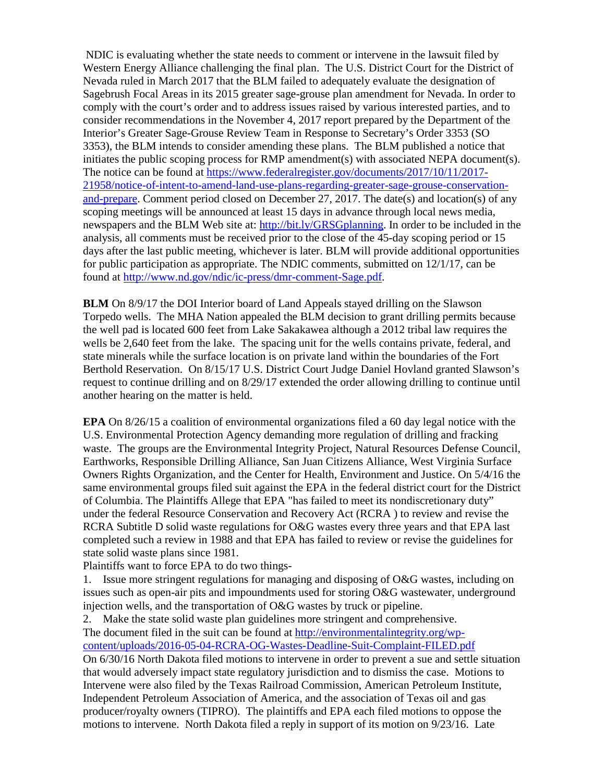NDIC is evaluating whether the state needs to comment or intervene in the lawsuit filed by Western Energy Alliance challenging the final plan. The U.S. District Court for the District of Nevada ruled in March 2017 that the BLM failed to adequately evaluate the designation of Sagebrush Focal Areas in its 2015 greater sage-grouse plan amendment for Nevada. In order to comply with the court's order and to address issues raised by various interested parties, and to consider recommendations in the November 4, 2017 report prepared by the Department of the Interior's Greater Sage-Grouse Review Team in Response to Secretary's Order 3353 (SO 3353), the BLM intends to consider amending these plans. The BLM published a notice that initiates the public scoping process for RMP amendment(s) with associated NEPA document(s). The notice can be found at [https://www.federalregister.gov/documents/2017/10/11/2017-](https://www.federalregister.gov/documents/2017/10/11/2017-21958/notice-of-intent-to-amend-land-use-plans-regarding-greater-sage-grouse-conservation-and-prepare) [21958/notice-of-intent-to-amend-land-use-plans-regarding-greater-sage-grouse-conservation](https://www.federalregister.gov/documents/2017/10/11/2017-21958/notice-of-intent-to-amend-land-use-plans-regarding-greater-sage-grouse-conservation-and-prepare)[and-prepare.](https://www.federalregister.gov/documents/2017/10/11/2017-21958/notice-of-intent-to-amend-land-use-plans-regarding-greater-sage-grouse-conservation-and-prepare) Comment period closed on December 27, 2017. The date(s) and location(s) of any scoping meetings will be announced at least 15 days in advance through local news media, newspapers and the BLM Web site at: [http://bit.ly/GRSGplanning.](http://bit.ly/%E2%80%8BGRSGplanning) In order to be included in the analysis, all comments must be received prior to the close of the 45-day scoping period or 15 days after the last public meeting, whichever is later. BLM will provide additional opportunities for public participation as appropriate. The NDIC comments, submitted on 12/1/17, can be found at [http://www.nd.gov/ndic/ic-press/dmr-comment-Sage.pdf.](http://www.nd.gov/ndic/ic-press/dmr-comment-Sage.pdf)

**BLM** On 8/9/17 the DOI Interior board of Land Appeals stayed drilling on the Slawson Torpedo wells. The MHA Nation appealed the BLM decision to grant drilling permits because the well pad is located 600 feet from Lake Sakakawea although a 2012 tribal law requires the wells be 2,640 feet from the lake. The spacing unit for the wells contains private, federal, and state minerals while the surface location is on private land within the boundaries of the Fort Berthold Reservation. On 8/15/17 U.S. District Court Judge Daniel Hovland granted Slawson's request to continue drilling and on 8/29/17 extended the order allowing drilling to continue until another hearing on the matter is held.

**EPA** On 8/26/15 a coalition of environmental organizations filed a 60 day legal notice with the U.S. Environmental Protection Agency demanding more regulation of drilling and fracking waste. The groups are the Environmental Integrity Project, Natural Resources Defense Council, Earthworks, Responsible Drilling Alliance, San Juan Citizens Alliance, West Virginia Surface Owners Rights Organization, and the Center for Health, Environment and Justice. On 5/4/16 the same environmental groups filed suit against the EPA in the federal district court for the District of Columbia. The Plaintiffs Allege that EPA "has failed to meet its nondiscretionary duty" under the federal Resource Conservation and Recovery Act (RCRA ) to review and revise the RCRA Subtitle D solid waste regulations for O&G wastes every three years and that EPA last completed such a review in 1988 and that EPA has failed to review or revise the guidelines for state solid waste plans since 1981.

Plaintiffs want to force EPA to do two things-

1. Issue more stringent regulations for managing and disposing of O&G wastes, including on issues such as open-air pits and impoundments used for storing O&G wastewater, underground injection wells, and the transportation of O&G wastes by truck or pipeline.

2. Make the state solid waste plan guidelines more stringent and comprehensive. The document filed in the suit can be found at [http://environmentalintegrity.org/wp](http://environmentalintegrity.org/wp-content/uploads/2016-05-04-RCRA-OG-Wastes-Deadline-Suit-Complaint-FILED.pdf)[content/uploads/2016-05-04-RCRA-OG-Wastes-Deadline-Suit-Complaint-FILED.pdf](http://environmentalintegrity.org/wp-content/uploads/2016-05-04-RCRA-OG-Wastes-Deadline-Suit-Complaint-FILED.pdf) On 6/30/16 North Dakota filed motions to intervene in order to prevent a sue and settle situation that would adversely impact state regulatory jurisdiction and to dismiss the case. Motions to Intervene were also filed by the Texas Railroad Commission, American Petroleum Institute, Independent Petroleum Association of America, and the association of Texas oil and gas producer/royalty owners (TIPRO). The plaintiffs and EPA each filed motions to oppose the motions to intervene. North Dakota filed a reply in support of its motion on 9/23/16. Late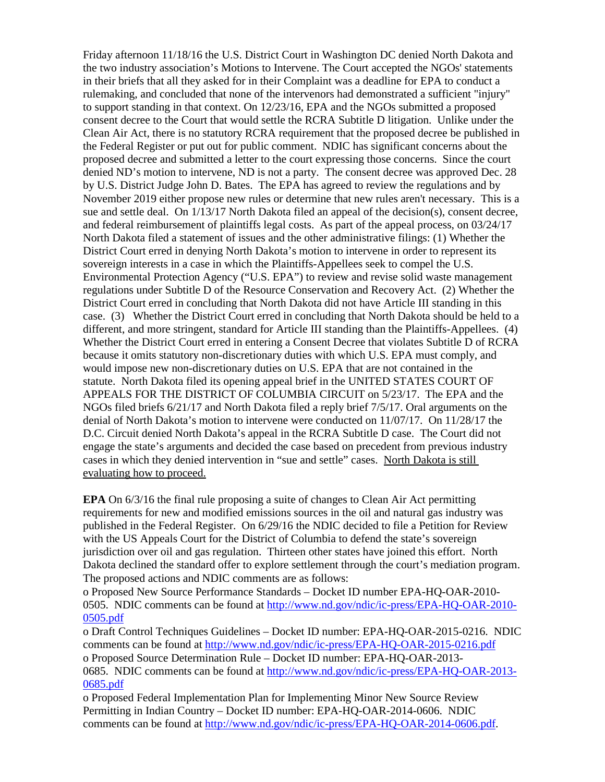Friday afternoon 11/18/16 the U.S. District Court in Washington DC denied North Dakota and the two industry association's Motions to Intervene. The Court accepted the NGOs' statements in their briefs that all they asked for in their Complaint was a deadline for EPA to conduct a rulemaking, and concluded that none of the intervenors had demonstrated a sufficient "injury" to support standing in that context. On 12/23/16, EPA and the NGOs submitted a proposed consent decree to the Court that would settle the RCRA Subtitle D litigation. Unlike under the Clean Air Act, there is no statutory RCRA requirement that the proposed decree be published in the Federal Register or put out for public comment. NDIC has significant concerns about the proposed decree and submitted a letter to the court expressing those concerns. Since the court denied ND's motion to intervene, ND is not a party. The consent decree was approved Dec. 28 by U.S. District Judge John D. Bates. The EPA has agreed to review the regulations and by November 2019 either propose new rules or determine that new rules aren't necessary. This is a sue and settle deal. On  $1/13/17$  North Dakota filed an appeal of the decision(s), consent decree, and federal reimbursement of plaintiffs legal costs. As part of the appeal process, on 03/24/17 North Dakota filed a statement of issues and the other administrative filings: (1) Whether the District Court erred in denying North Dakota's motion to intervene in order to represent its sovereign interests in a case in which the Plaintiffs-Appellees seek to compel the U.S. Environmental Protection Agency ("U.S. EPA") to review and revise solid waste management regulations under Subtitle D of the Resource Conservation and Recovery Act. (2) Whether the District Court erred in concluding that North Dakota did not have Article III standing in this case. (3) Whether the District Court erred in concluding that North Dakota should be held to a different, and more stringent, standard for Article III standing than the Plaintiffs-Appellees. (4) Whether the District Court erred in entering a Consent Decree that violates Subtitle D of RCRA because it omits statutory non-discretionary duties with which U.S. EPA must comply, and would impose new non-discretionary duties on U.S. EPA that are not contained in the statute. North Dakota filed its opening appeal brief in the UNITED STATES COURT OF APPEALS FOR THE DISTRICT OF COLUMBIA CIRCUIT on 5/23/17. The EPA and the NGOs filed briefs 6/21/17 and North Dakota filed a reply brief 7/5/17. Oral arguments on the denial of North Dakota's motion to intervene were conducted on 11/07/17. On 11/28/17 the D.C. Circuit denied North Dakota's appeal in the RCRA Subtitle D case. The Court did not engage the state's arguments and decided the case based on precedent from previous industry cases in which they denied intervention in "sue and settle" cases. North Dakota is still evaluating how to proceed.

**EPA** On 6/3/16 the final rule proposing a suite of changes to Clean Air Act permitting requirements for new and modified emissions sources in the oil and natural gas industry was published in the Federal Register. On 6/29/16 the NDIC decided to file a Petition for Review with the US Appeals Court for the District of Columbia to defend the state's sovereign jurisdiction over oil and gas regulation. Thirteen other states have joined this effort. North Dakota declined the standard offer to explore settlement through the court's mediation program. The proposed actions and NDIC comments are as follows:

o Proposed New Source Performance Standards – Docket ID number EPA-HQ-OAR-2010- 0505. NDIC comments can be found at [http://www.nd.gov/ndic/ic-press/EPA-HQ-OAR-2010-](http://www.nd.gov/ndic/ic-press/EPA-HQ-OAR-2010-0505.pdf) [0505.pdf](http://www.nd.gov/ndic/ic-press/EPA-HQ-OAR-2010-0505.pdf)

o Draft Control Techniques Guidelines – Docket ID number: EPA-HQ-OAR-2015-0216. NDIC comments can be found at<http://www.nd.gov/ndic/ic-press/EPA-HQ-OAR-2015-0216.pdf> o Proposed Source Determination Rule – Docket ID number: EPA-HQ-OAR-2013- 0685. NDIC comments can be found at [http://www.nd.gov/ndic/ic-press/EPA-HQ-OAR-2013-](http://www.nd.gov/ndic/ic-press/EPA-HQ-OAR-2013-0685.pdf) [0685.pdf](http://www.nd.gov/ndic/ic-press/EPA-HQ-OAR-2013-0685.pdf)

o Proposed Federal Implementation Plan for Implementing Minor New Source Review Permitting in Indian Country – Docket ID number: EPA-HQ-OAR-2014-0606. NDIC comments can be found at [http://www.nd.gov/ndic/ic-press/EPA-HQ-OAR-2014-0606.pdf.](http://www.nd.gov/ndic/ic-press/EPA-HQ-OAR-2014-0606.pdf)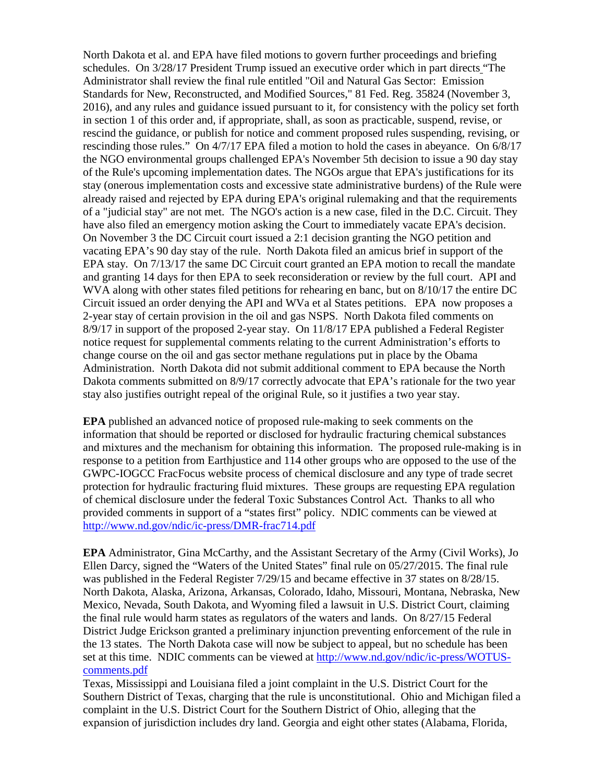North Dakota et al. and EPA have filed motions to govern further proceedings and briefing schedules. On 3/28/17 President Trump issued an executive order which in part directs "The Administrator shall review the final rule entitled "Oil and Natural Gas Sector: Emission Standards for New, Reconstructed, and Modified Sources," 81 Fed. Reg. 35824 (November 3, 2016), and any rules and guidance issued pursuant to it, for consistency with the policy set forth in section 1 of this order and, if appropriate, shall, as soon as practicable, suspend, revise, or rescind the guidance, or publish for notice and comment proposed rules suspending, revising, or rescinding those rules." On 4/7/17 EPA filed a motion to hold the cases in abeyance. On 6/8/17 the NGO environmental groups challenged EPA's November 5th decision to issue a 90 day stay of the Rule's upcoming implementation dates. The NGOs argue that EPA's justifications for its stay (onerous implementation costs and excessive state administrative burdens) of the Rule were already raised and rejected by EPA during EPA's original rulemaking and that the requirements of a "judicial stay" are not met. The NGO's action is a new case, filed in the D.C. Circuit. They have also filed an emergency motion asking the Court to immediately vacate EPA's decision. On November 3 the DC Circuit court issued a 2:1 decision granting the NGO petition and vacating EPA's 90 day stay of the rule. North Dakota filed an amicus brief in support of the EPA stay. On 7/13/17 the same DC Circuit court granted an EPA motion to recall the mandate and granting 14 days for then EPA to seek reconsideration or review by the full court. API and WVA along with other states filed petitions for rehearing en banc, but on 8/10/17 the entire DC Circuit issued an order denying the API and WVa et al States petitions. EPA now proposes a 2-year stay of certain provision in the oil and gas NSPS. North Dakota filed comments on 8/9/17 in support of the proposed 2-year stay. On 11/8/17 EPA published a Federal Register notice request for supplemental comments relating to the current Administration's efforts to change course on the oil and gas sector methane regulations put in place by the Obama Administration. North Dakota did not submit additional comment to EPA because the North Dakota comments submitted on 8/9/17 correctly advocate that EPA's rationale for the two year stay also justifies outright repeal of the original Rule, so it justifies a two year stay.

**EPA** published an advanced notice of proposed rule-making to seek comments on the information that should be reported or disclosed for hydraulic fracturing chemical substances and mixtures and the mechanism for obtaining this information. The proposed rule-making is in response to a petition from Earthjustice and 114 other groups who are opposed to the use of the GWPC-IOGCC FracFocus website process of chemical disclosure and any type of trade secret protection for hydraulic fracturing fluid mixtures. These groups are requesting EPA regulation of chemical disclosure under the federal Toxic Substances Control Act. Thanks to all who provided comments in support of a "states first" policy. NDIC comments can be viewed at <http://www.nd.gov/ndic/ic-press/DMR-frac714.pdf>

**EPA** Administrator, Gina McCarthy, and the Assistant Secretary of the Army (Civil Works), Jo Ellen Darcy, signed the "Waters of the United States" final rule on 05/27/2015. The final rule was published in the Federal Register  $7/29/15$  and became effective in 37 states on 8/28/15. North Dakota, Alaska, Arizona, Arkansas, Colorado, Idaho, Missouri, Montana, Nebraska, New Mexico, Nevada, South Dakota, and Wyoming filed a lawsuit in U.S. District Court, claiming the final rule would harm states as regulators of the waters and lands. On 8/27/15 Federal District Judge Erickson granted a preliminary injunction preventing enforcement of the rule in the 13 states. The North Dakota case will now be subject to appeal, but no schedule has been set at this time. NDIC comments can be viewed at [http://www.nd.gov/ndic/ic-press/WOTUS](http://www.nd.gov/ndic/ic-press/WOTUS-comments.pdf)[comments.pdf](http://www.nd.gov/ndic/ic-press/WOTUS-comments.pdf)

Texas, Mississippi and Louisiana filed a joint complaint in the U.S. District Court for the Southern District of Texas, charging that the rule is unconstitutional. Ohio and Michigan filed a complaint in the U.S. District Court for the Southern District of Ohio, alleging that the expansion of jurisdiction includes dry land. Georgia and eight other states (Alabama, Florida,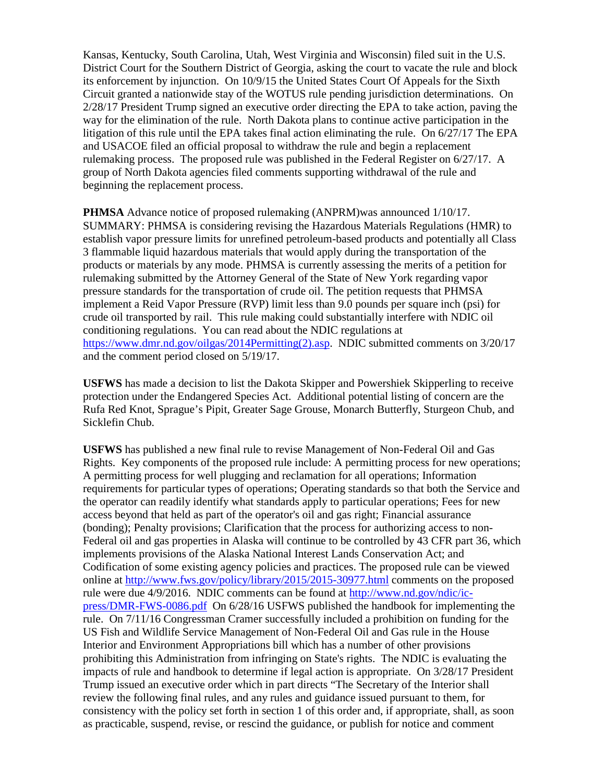Kansas, Kentucky, South Carolina, Utah, West Virginia and Wisconsin) filed suit in the U.S. District Court for the Southern District of Georgia, asking the court to vacate the rule and block its enforcement by injunction. On 10/9/15 the United States Court Of Appeals for the Sixth Circuit granted a nationwide stay of the WOTUS rule pending jurisdiction determinations. On 2/28/17 President Trump signed an executive order directing the EPA to take action, paving the way for the elimination of the rule. North Dakota plans to continue active participation in the litigation of this rule until the EPA takes final action eliminating the rule. On 6/27/17 The EPA and USACOE filed an official proposal to withdraw the rule and begin a replacement rulemaking process. The proposed rule was published in the Federal Register on 6/27/17. A group of North Dakota agencies filed comments supporting withdrawal of the rule and beginning the replacement process.

**PHMSA** Advance notice of proposed rulemaking (ANPRM)was announced 1/10/17. SUMMARY: PHMSA is considering revising the Hazardous Materials Regulations (HMR) to establish vapor pressure limits for unrefined petroleum-based products and potentially all Class 3 flammable liquid hazardous materials that would apply during the transportation of the products or materials by any mode. PHMSA is currently assessing the merits of a petition for rulemaking submitted by the Attorney General of the State of New York regarding vapor pressure standards for the transportation of crude oil. The petition requests that PHMSA implement a Reid Vapor Pressure (RVP) limit less than 9.0 pounds per square inch (psi) for crude oil transported by rail. This rule making could substantially interfere with NDIC oil conditioning regulations. You can read about the NDIC regulations at [https://www.dmr.nd.gov/oilgas/2014Permitting\(2\).asp.](https://www.dmr.nd.gov/oilgas/2014Permitting(2).asp) NDIC submitted comments on 3/20/17 and the comment period closed on 5/19/17.

**USFWS** has made a decision to list the Dakota Skipper and Powershiek Skipperling to receive protection under the Endangered Species Act. Additional potential listing of concern are the Rufa Red Knot, Sprague's Pipit, Greater Sage Grouse, Monarch Butterfly, Sturgeon Chub, and Sicklefin Chub.

**USFWS** has published a new final rule to revise Management of Non-Federal Oil and Gas Rights. Key components of the proposed rule include: A permitting process for new operations; A permitting process for well plugging and reclamation for all operations; Information requirements for particular types of operations; Operating standards so that both the Service and the operator can readily identify what standards apply to particular operations; Fees for new access beyond that held as part of the operator's oil and gas right; Financial assurance (bonding); Penalty provisions; Clarification that the process for authorizing access to non-Federal oil and gas properties in Alaska will continue to be controlled by 43 CFR part 36, which implements provisions of the Alaska National Interest Lands Conservation Act; and Codification of some existing agency policies and practices. The proposed rule can be viewed online at<http://www.fws.gov/policy/library/2015/2015-30977.html> comments on the proposed rule were due 4/9/2016. NDIC comments can be found at [http://www.nd.gov/ndic/ic](http://www.nd.gov/ndic/ic-press/DMR-FWS-0086.pdf)[press/DMR-FWS-0086.pdf](http://www.nd.gov/ndic/ic-press/DMR-FWS-0086.pdf) On 6/28/16 USFWS published the handbook for implementing the rule. On 7/11/16 Congressman Cramer successfully included a prohibition on funding for the US Fish and Wildlife Service Management of Non-Federal Oil and Gas rule in the House Interior and Environment Appropriations bill which has a number of other provisions prohibiting this Administration from infringing on State's rights. The NDIC is evaluating the impacts of rule and handbook to determine if legal action is appropriate. On 3/28/17 President Trump issued an executive order which in part directs "The Secretary of the Interior shall review the following final rules, and any rules and guidance issued pursuant to them, for consistency with the policy set forth in section 1 of this order and, if appropriate, shall, as soon as practicable, suspend, revise, or rescind the guidance, or publish for notice and comment